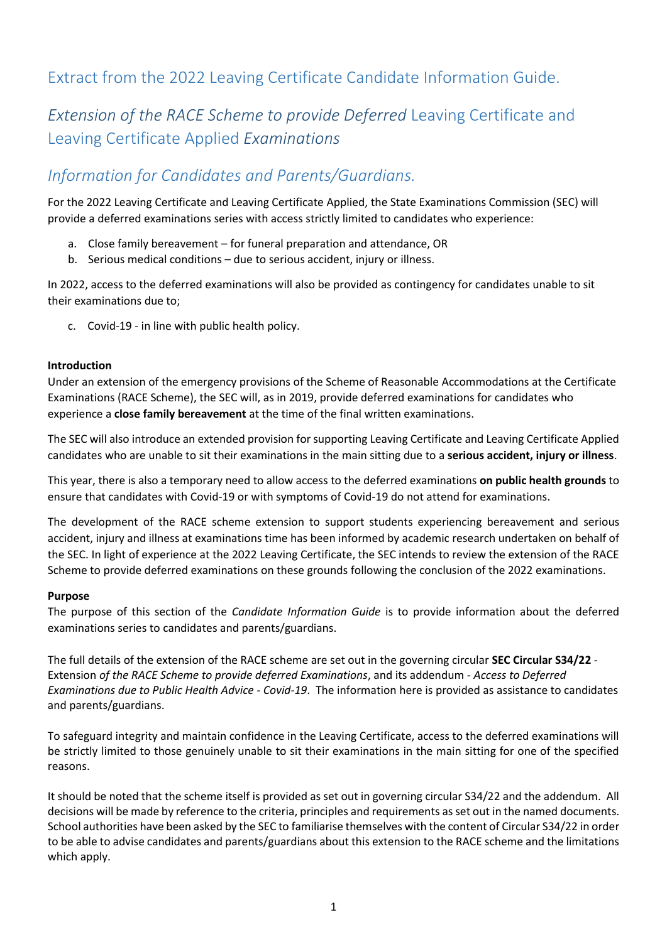# Extract from the 2022 Leaving Certificate Candidate Information Guide.

# **Extension of the RACE Scheme to provide Deferred Leaving Certificate and** Leaving Certificate Applied *Examinations*

# *Information for Candidates and Parents/Guardians.*

For the 2022 Leaving Certificate and Leaving Certificate Applied, the State Examinations Commission (SEC) will provide a deferred examinations series with access strictly limited to candidates who experience:

- a. Close family bereavement for funeral preparation and attendance, OR
- b. Serious medical conditions due to serious accident, injury or illness.

In 2022, access to the deferred examinations will also be provided as contingency for candidates unable to sit their examinations due to;

c. Covid-19 - in line with public health policy.

#### **Introduction**

Under an extension of the emergency provisions of the Scheme of Reasonable Accommodations at the Certificate Examinations (RACE Scheme), the SEC will, as in 2019, provide deferred examinations for candidates who experience a **close family bereavement** at the time of the final written examinations.

The SEC will also introduce an extended provision for supporting Leaving Certificate and Leaving Certificate Applied candidates who are unable to sit their examinations in the main sitting due to a **serious accident, injury or illness**.

This year, there is also a temporary need to allow access to the deferred examinations **on public health grounds** to ensure that candidates with Covid-19 or with symptoms of Covid-19 do not attend for examinations.

The development of the RACE scheme extension to support students experiencing bereavement and serious accident, injury and illness at examinations time has been informed by academic research undertaken on behalf of the SEC. In light of experience at the 2022 Leaving Certificate, the SEC intends to review the extension of the RACE Scheme to provide deferred examinations on these grounds following the conclusion of the 2022 examinations.

#### **Purpose**

The purpose of this section of the *Candidate Information Guide* is to provide information about the deferred examinations series to candidates and parents/guardians.

The full details of the extension of the RACE scheme are set out in the governing circular **SEC Circular S34/22** - Extension *of the RACE Scheme to provide deferred Examinations*, and its addendum - *Access to Deferred Examinations due to Public Health Advice - Covid-19*. The information here is provided as assistance to candidates and parents/guardians.

To safeguard integrity and maintain confidence in the Leaving Certificate, access to the deferred examinations will be strictly limited to those genuinely unable to sit their examinations in the main sitting for one of the specified reasons.

It should be noted that the scheme itself is provided as set out in governing circular S34/22 and the addendum. All decisions will be made by reference to the criteria, principles and requirements as set out in the named documents. School authorities have been asked by the SEC to familiarise themselves with the content of Circular S34/22 in order to be able to advise candidates and parents/guardians about this extension to the RACE scheme and the limitations which apply.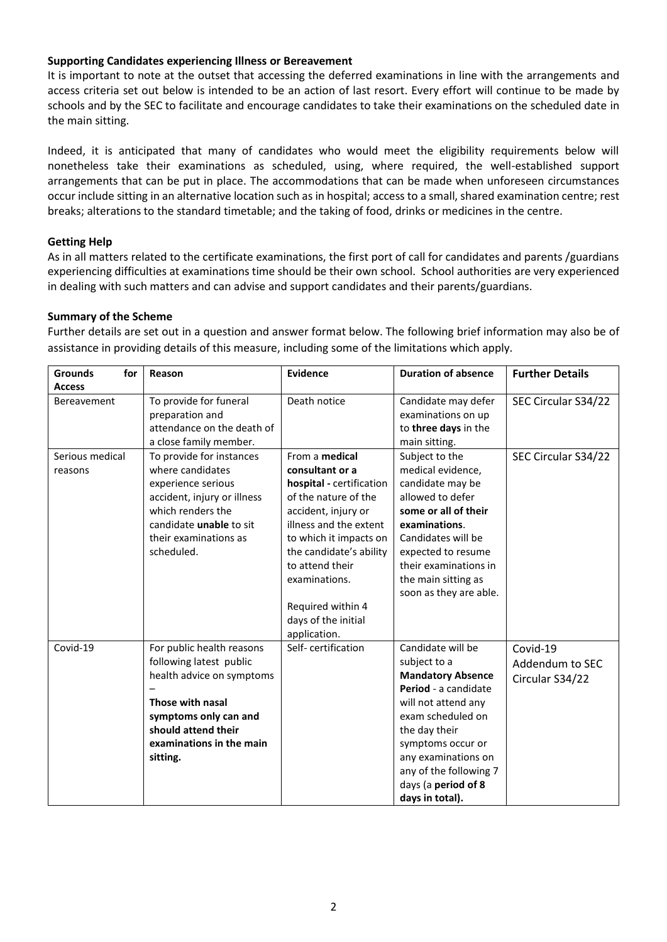#### **Supporting Candidates experiencing Illness or Bereavement**

It is important to note at the outset that accessing the deferred examinations in line with the arrangements and access criteria set out below is intended to be an action of last resort. Every effort will continue to be made by schools and by the SEC to facilitate and encourage candidates to take their examinations on the scheduled date in the main sitting.

Indeed, it is anticipated that many of candidates who would meet the eligibility requirements below will nonetheless take their examinations as scheduled, using, where required, the well-established support arrangements that can be put in place. The accommodations that can be made when unforeseen circumstances occur include sitting in an alternative location such as in hospital; access to a small, shared examination centre; rest breaks; alterations to the standard timetable; and the taking of food, drinks or medicines in the centre.

#### **Getting Help**

As in all matters related to the certificate examinations, the first port of call for candidates and parents /guardians experiencing difficulties at examinations time should be their own school. School authorities are very experienced in dealing with such matters and can advise and support candidates and their parents/guardians.

#### **Summary of the Scheme**

Further details are set out in a question and answer format below. The following brief information may also be of assistance in providing details of this measure, including some of the limitations which apply.

| <b>Grounds</b><br>for      | Reason                                                                                                                                                                                        | Evidence                                                                                                                                                                                                                                                                                    | <b>Duration of absence</b>                                                                                                                                                                                                                                         | <b>Further Details</b>                         |
|----------------------------|-----------------------------------------------------------------------------------------------------------------------------------------------------------------------------------------------|---------------------------------------------------------------------------------------------------------------------------------------------------------------------------------------------------------------------------------------------------------------------------------------------|--------------------------------------------------------------------------------------------------------------------------------------------------------------------------------------------------------------------------------------------------------------------|------------------------------------------------|
| <b>Access</b>              |                                                                                                                                                                                               |                                                                                                                                                                                                                                                                                             |                                                                                                                                                                                                                                                                    |                                                |
| Bereavement                | To provide for funeral<br>preparation and<br>attendance on the death of<br>a close family member.                                                                                             | Death notice                                                                                                                                                                                                                                                                                | Candidate may defer<br>examinations on up<br>to three days in the<br>main sitting.                                                                                                                                                                                 | SEC Circular S34/22                            |
| Serious medical<br>reasons | To provide for instances<br>where candidates<br>experience serious<br>accident, injury or illness<br>which renders the<br>candidate unable to sit<br>their examinations as<br>scheduled.      | From a medical<br>consultant or a<br>hospital - certification<br>of the nature of the<br>accident, injury or<br>illness and the extent<br>to which it impacts on<br>the candidate's ability<br>to attend their<br>examinations.<br>Required within 4<br>days of the initial<br>application. | Subject to the<br>medical evidence,<br>candidate may be<br>allowed to defer<br>some or all of their<br>examinations.<br>Candidates will be<br>expected to resume<br>their examinations in<br>the main sitting as<br>soon as they are able.                         | SEC Circular S34/22                            |
| Covid-19                   | For public health reasons<br>following latest public<br>health advice on symptoms<br>Those with nasal<br>symptoms only can and<br>should attend their<br>examinations in the main<br>sitting. | Self-certification                                                                                                                                                                                                                                                                          | Candidate will be<br>subject to a<br><b>Mandatory Absence</b><br>Period - a candidate<br>will not attend any<br>exam scheduled on<br>the day their<br>symptoms occur or<br>any examinations on<br>any of the following 7<br>days (a period of 8<br>days in total). | Covid-19<br>Addendum to SEC<br>Circular S34/22 |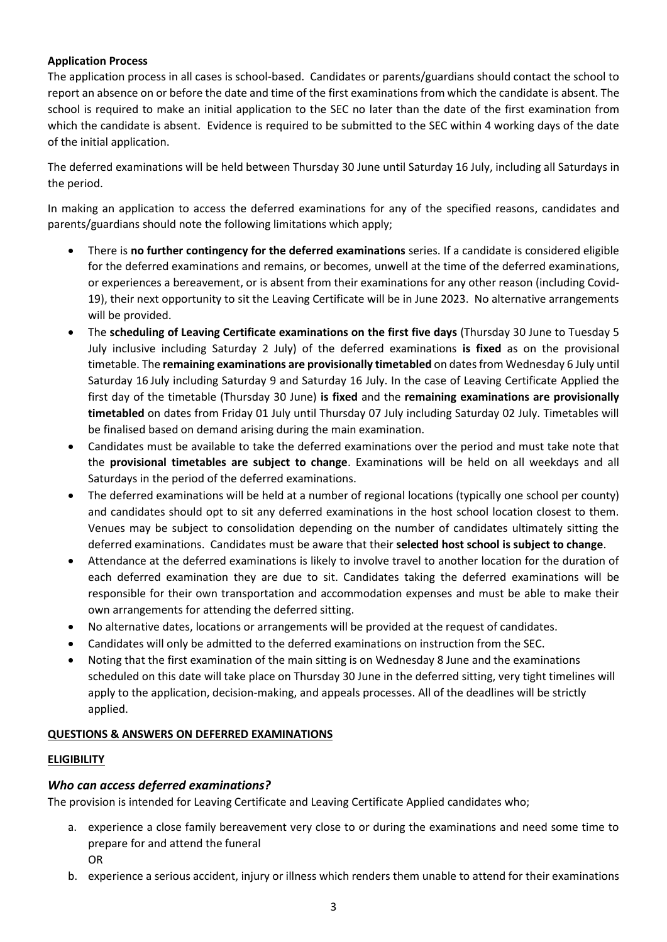#### **Application Process**

The application process in all cases is school-based. Candidates or parents/guardians should contact the school to report an absence on or before the date and time of the first examinations from which the candidate is absent. The school is required to make an initial application to the SEC no later than the date of the first examination from which the candidate is absent. Evidence is required to be submitted to the SEC within 4 working days of the date of the initial application.

The deferred examinations will be held between Thursday 30 June until Saturday 16 July, including all Saturdays in the period.

In making an application to access the deferred examinations for any of the specified reasons, candidates and parents/guardians should note the following limitations which apply;

- There is **no further contingency for the deferred examinations** series. If a candidate is considered eligible for the deferred examinations and remains, or becomes, unwell at the time of the deferred examinations, or experiences a bereavement, or is absent from their examinations for any other reason (including Covid-19), their next opportunity to sit the Leaving Certificate will be in June 2023. No alternative arrangements will be provided.
- The **scheduling of Leaving Certificate examinations on the first five days** (Thursday 30 June to Tuesday 5 July inclusive including Saturday 2 July) of the deferred examinations **is fixed** as on the provisional timetable. The **remaining examinations are provisionally timetabled** on dates from Wednesday 6 July until Saturday 16 July including Saturday 9 and Saturday 16 July. In the case of Leaving Certificate Applied the first day of the timetable (Thursday 30 June) **is fixed** and the **remaining examinations are provisionally timetabled** on dates from Friday 01 July until Thursday 07 July including Saturday 02 July. Timetables will be finalised based on demand arising during the main examination.
- Candidates must be available to take the deferred examinations over the period and must take note that the **provisional timetables are subject to change**. Examinations will be held on all weekdays and all Saturdays in the period of the deferred examinations.
- The deferred examinations will be held at a number of regional locations (typically one school per county) and candidates should opt to sit any deferred examinations in the host school location closest to them. Venues may be subject to consolidation depending on the number of candidates ultimately sitting the deferred examinations. Candidates must be aware that their **selected host school is subject to change**.
- Attendance at the deferred examinations is likely to involve travel to another location for the duration of each deferred examination they are due to sit. Candidates taking the deferred examinations will be responsible for their own transportation and accommodation expenses and must be able to make their own arrangements for attending the deferred sitting.
- No alternative dates, locations or arrangements will be provided at the request of candidates.
- Candidates will only be admitted to the deferred examinations on instruction from the SEC.
- Noting that the first examination of the main sitting is on Wednesday 8 June and the examinations scheduled on this date will take place on Thursday 30 June in the deferred sitting, very tight timelines will apply to the application, decision-making, and appeals processes. All of the deadlines will be strictly applied.

### **QUESTIONS & ANSWERS ON DEFERRED EXAMINATIONS**

#### **ELIGIBILITY**

### *Who can access deferred examinations?*

The provision is intended for Leaving Certificate and Leaving Certificate Applied candidates who;

- a. experience a close family bereavement very close to or during the examinations and need some time to prepare for and attend the funeral OR
- b. experience a serious accident, injury or illness which renders them unable to attend for their examinations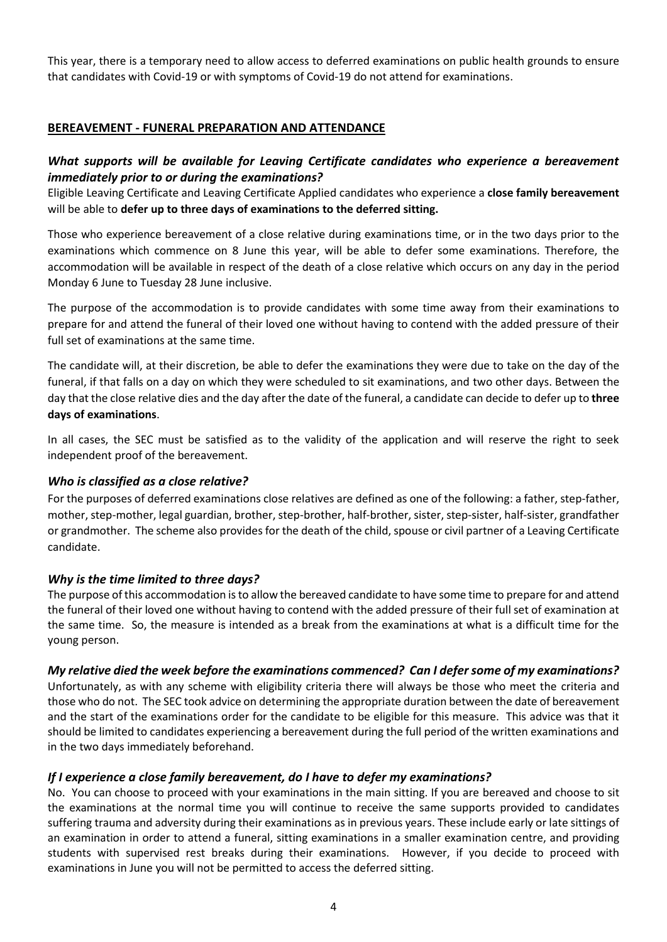This year, there is a temporary need to allow access to deferred examinations on public health grounds to ensure that candidates with Covid-19 or with symptoms of Covid-19 do not attend for examinations.

## **BEREAVEMENT - FUNERAL PREPARATION AND ATTENDANCE**

## *What supports will be available for Leaving Certificate candidates who experience a bereavement immediately prior to or during the examinations?*

Eligible Leaving Certificate and Leaving Certificate Applied candidates who experience a **close family bereavement**  will be able to **defer up to three days of examinations to the deferred sitting.** 

Those who experience bereavement of a close relative during examinations time, or in the two days prior to the examinations which commence on 8 June this year, will be able to defer some examinations. Therefore, the accommodation will be available in respect of the death of a close relative which occurs on any day in the period Monday 6 June to Tuesday 28 June inclusive.

The purpose of the accommodation is to provide candidates with some time away from their examinations to prepare for and attend the funeral of their loved one without having to contend with the added pressure of their full set of examinations at the same time.

The candidate will, at their discretion, be able to defer the examinations they were due to take on the day of the funeral, if that falls on a day on which they were scheduled to sit examinations, and two other days. Between the day that the close relative dies and the day after the date of the funeral, a candidate can decide to defer up to **three days of examinations**.

In all cases, the SEC must be satisfied as to the validity of the application and will reserve the right to seek independent proof of the bereavement.

### *Who is classified as a close relative?*

For the purposes of deferred examinations close relatives are defined as one of the following: a father, step-father, mother, step-mother, legal guardian, brother, step-brother, half-brother, sister, step-sister, half-sister, grandfather or grandmother. The scheme also provides for the death of the child, spouse or civil partner of a Leaving Certificate candidate.

### *Why is the time limited to three days?*

The purpose of this accommodation is to allow the bereaved candidate to have some time to prepare for and attend the funeral of their loved one without having to contend with the added pressure of their full set of examination at the same time. So, the measure is intended as a break from the examinations at what is a difficult time for the young person.

### *My relative died the week before the examinations commenced? Can I defer some of my examinations?*

Unfortunately, as with any scheme with eligibility criteria there will always be those who meet the criteria and those who do not. The SEC took advice on determining the appropriate duration between the date of bereavement and the start of the examinations order for the candidate to be eligible for this measure. This advice was that it should be limited to candidates experiencing a bereavement during the full period of the written examinations and in the two days immediately beforehand.

### *If I experience a close family bereavement, do I have to defer my examinations?*

No. You can choose to proceed with your examinations in the main sitting. If you are bereaved and choose to sit the examinations at the normal time you will continue to receive the same supports provided to candidates suffering trauma and adversity during their examinations as in previous years. These include early or late sittings of an examination in order to attend a funeral, sitting examinations in a smaller examination centre, and providing students with supervised rest breaks during their examinations. However, if you decide to proceed with examinations in June you will not be permitted to access the deferred sitting.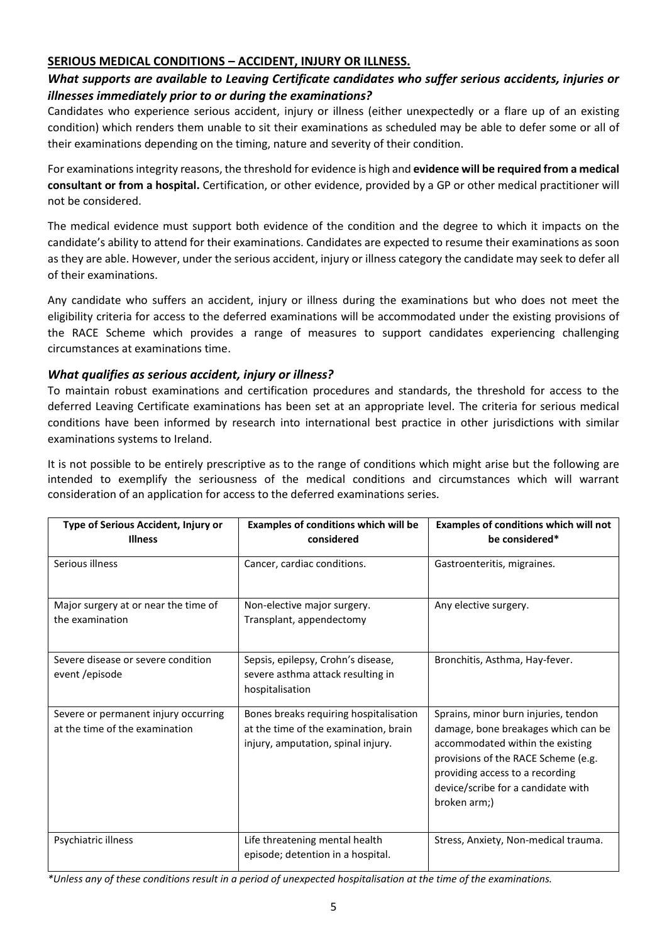### **SERIOUS MEDICAL CONDITIONS – ACCIDENT, INJURY OR ILLNESS.**

### *What supports are available to Leaving Certificate candidates who suffer serious accidents, injuries or illnesses immediately prior to or during the examinations?*

Candidates who experience serious accident, injury or illness (either unexpectedly or a flare up of an existing condition) which renders them unable to sit their examinations as scheduled may be able to defer some or all of their examinations depending on the timing, nature and severity of their condition.

For examinations integrity reasons, the threshold for evidence is high and **evidence will be required from a medical consultant or from a hospital.** Certification, or other evidence, provided by a GP or other medical practitioner will not be considered.

The medical evidence must support both evidence of the condition and the degree to which it impacts on the candidate's ability to attend for their examinations. Candidates are expected to resume their examinations as soon as they are able. However, under the serious accident, injury or illness category the candidate may seek to defer all of their examinations.

Any candidate who suffers an accident, injury or illness during the examinations but who does not meet the eligibility criteria for access to the deferred examinations will be accommodated under the existing provisions of the RACE Scheme which provides a range of measures to support candidates experiencing challenging circumstances at examinations time.

### *What qualifies as serious accident, injury or illness?*

To maintain robust examinations and certification procedures and standards, the threshold for access to the deferred Leaving Certificate examinations has been set at an appropriate level. The criteria for serious medical conditions have been informed by research into international best practice in other jurisdictions with similar examinations systems to Ireland.

It is not possible to be entirely prescriptive as to the range of conditions which might arise but the following are intended to exemplify the seriousness of the medical conditions and circumstances which will warrant consideration of an application for access to the deferred examinations series.

| Type of Serious Accident, Injury or<br><b>Illness</b>                  | Examples of conditions which will be<br>considered                                                                    | Examples of conditions which will not<br>be considered*                                                                                                                                                                                         |
|------------------------------------------------------------------------|-----------------------------------------------------------------------------------------------------------------------|-------------------------------------------------------------------------------------------------------------------------------------------------------------------------------------------------------------------------------------------------|
| Serious illness                                                        | Cancer, cardiac conditions.                                                                                           | Gastroenteritis, migraines.                                                                                                                                                                                                                     |
| Major surgery at or near the time of<br>the examination                | Non-elective major surgery.<br>Transplant, appendectomy                                                               | Any elective surgery.                                                                                                                                                                                                                           |
| Severe disease or severe condition<br>event /episode                   | Sepsis, epilepsy, Crohn's disease,<br>severe asthma attack resulting in<br>hospitalisation                            | Bronchitis, Asthma, Hay-fever.                                                                                                                                                                                                                  |
| Severe or permanent injury occurring<br>at the time of the examination | Bones breaks requiring hospitalisation<br>at the time of the examination, brain<br>injury, amputation, spinal injury. | Sprains, minor burn injuries, tendon<br>damage, bone breakages which can be<br>accommodated within the existing<br>provisions of the RACE Scheme (e.g.<br>providing access to a recording<br>device/scribe for a candidate with<br>broken arm;) |
| Psychiatric illness                                                    | Life threatening mental health<br>episode; detention in a hospital.                                                   | Stress, Anxiety, Non-medical trauma.                                                                                                                                                                                                            |

*\*Unless any of these conditions result in a period of unexpected hospitalisation at the time of the examinations.*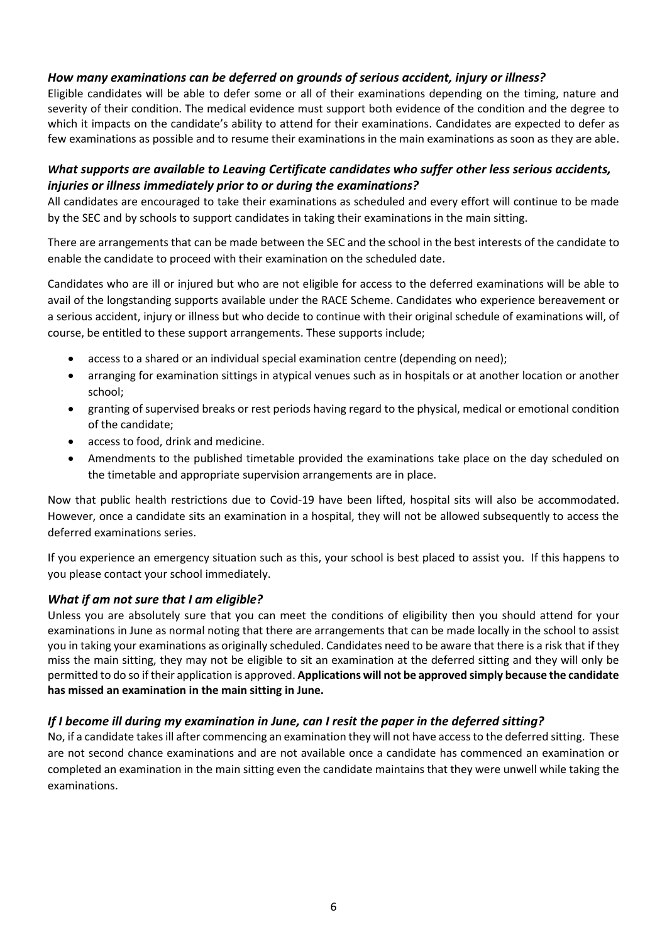### *How many examinations can be deferred on grounds of serious accident, injury or illness?*

Eligible candidates will be able to defer some or all of their examinations depending on the timing, nature and severity of their condition. The medical evidence must support both evidence of the condition and the degree to which it impacts on the candidate's ability to attend for their examinations. Candidates are expected to defer as few examinations as possible and to resume their examinations in the main examinations as soon as they are able.

## *What supports are available to Leaving Certificate candidates who suffer other less serious accidents, injuries or illness immediately prior to or during the examinations?*

All candidates are encouraged to take their examinations as scheduled and every effort will continue to be made by the SEC and by schools to support candidates in taking their examinations in the main sitting.

There are arrangements that can be made between the SEC and the school in the best interests of the candidate to enable the candidate to proceed with their examination on the scheduled date.

Candidates who are ill or injured but who are not eligible for access to the deferred examinations will be able to avail of the longstanding supports available under the RACE Scheme. Candidates who experience bereavement or a serious accident, injury or illness but who decide to continue with their original schedule of examinations will, of course, be entitled to these support arrangements. These supports include;

- access to a shared or an individual special examination centre (depending on need);
- arranging for examination sittings in atypical venues such as in hospitals or at another location or another school;
- granting of supervised breaks or rest periods having regard to the physical, medical or emotional condition of the candidate;
- access to food, drink and medicine.
- Amendments to the published timetable provided the examinations take place on the day scheduled on the timetable and appropriate supervision arrangements are in place.

Now that public health restrictions due to Covid-19 have been lifted, hospital sits will also be accommodated. However, once a candidate sits an examination in a hospital, they will not be allowed subsequently to access the deferred examinations series.

If you experience an emergency situation such as this, your school is best placed to assist you. If this happens to you please contact your school immediately.

### *What if am not sure that I am eligible?*

Unless you are absolutely sure that you can meet the conditions of eligibility then you should attend for your examinations in June as normal noting that there are arrangements that can be made locally in the school to assist you in taking your examinations as originally scheduled. Candidates need to be aware that there is a risk that if they miss the main sitting, they may not be eligible to sit an examination at the deferred sitting and they will only be permitted to do so if their application is approved. **Applications will not be approved simply because the candidate has missed an examination in the main sitting in June.**

### *If I become ill during my examination in June, can I resit the paper in the deferred sitting?*

No, if a candidate takes ill after commencing an examination they will not have access to the deferred sitting. These are not second chance examinations and are not available once a candidate has commenced an examination or completed an examination in the main sitting even the candidate maintains that they were unwell while taking the examinations.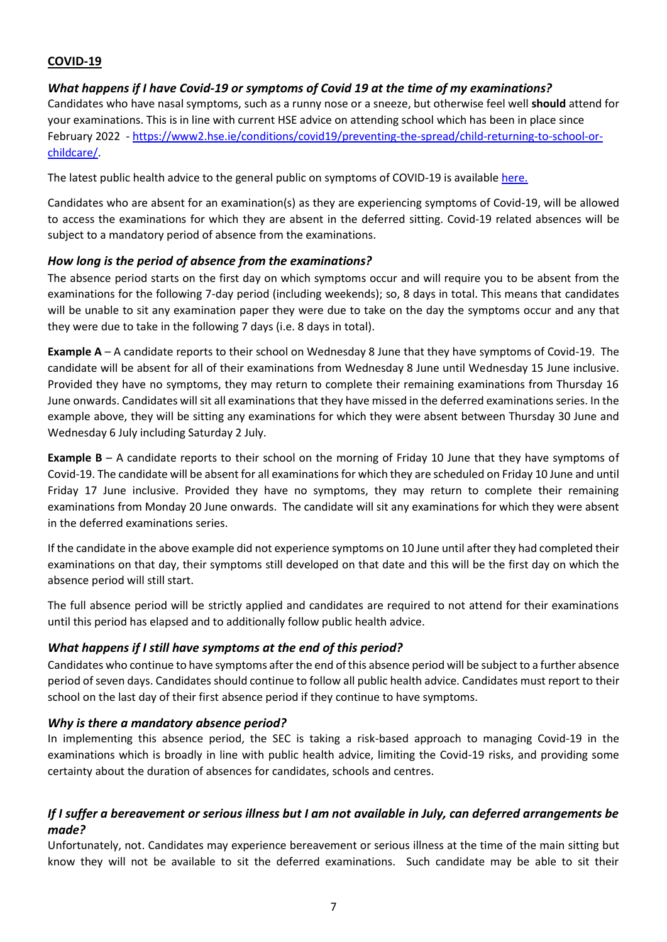# **COVID-19**

### *What happens if I have Covid-19 or symptoms of Covid 19 at the time of my examinations?*

Candidates who have nasal symptoms, such as a runny nose or a sneeze, but otherwise feel well **should** attend for your examinations. This is in line with current HSE advice on attending school which has been in place since February 2022 - [https://www2.hse.ie/conditions/covid19/preventing-the-spread/child-returning-to-school-or](https://www2.hse.ie/conditions/covid19/preventing-the-spread/child-returning-to-school-or-childcare/)[childcare/.](https://www2.hse.ie/conditions/covid19/preventing-the-spread/child-returning-to-school-or-childcare/)

The latest public health advice to the general public on symptoms of COVID-19 is availabl[e here.](https://www2.hse.ie/conditions/covid19/symptoms/overview/)

Candidates who are absent for an examination(s) as they are experiencing symptoms of Covid-19, will be allowed to access the examinations for which they are absent in the deferred sitting. Covid-19 related absences will be subject to a mandatory period of absence from the examinations.

### *How long is the period of absence from the examinations?*

The absence period starts on the first day on which symptoms occur and will require you to be absent from the examinations for the following 7-day period (including weekends); so, 8 days in total. This means that candidates will be unable to sit any examination paper they were due to take on the day the symptoms occur and any that they were due to take in the following 7 days (i.e. 8 days in total).

**Example A** – A candidate reports to their school on Wednesday 8 June that they have symptoms of Covid-19. The candidate will be absent for all of their examinations from Wednesday 8 June until Wednesday 15 June inclusive. Provided they have no symptoms, they may return to complete their remaining examinations from Thursday 16 June onwards. Candidates will sit all examinations that they have missed in the deferred examinations series. In the example above, they will be sitting any examinations for which they were absent between Thursday 30 June and Wednesday 6 July including Saturday 2 July.

**Example B** – A candidate reports to their school on the morning of Friday 10 June that they have symptoms of Covid-19. The candidate will be absent for all examinations for which they are scheduled on Friday 10 June and until Friday 17 June inclusive. Provided they have no symptoms, they may return to complete their remaining examinations from Monday 20 June onwards. The candidate will sit any examinations for which they were absent in the deferred examinations series.

If the candidate in the above example did not experience symptoms on 10 June until after they had completed their examinations on that day, their symptoms still developed on that date and this will be the first day on which the absence period will still start.

The full absence period will be strictly applied and candidates are required to not attend for their examinations until this period has elapsed and to additionally follow public health advice.

### *What happens if I still have symptoms at the end of this period?*

Candidates who continue to have symptoms after the end of this absence period will be subject to a further absence period of seven days. Candidates should continue to follow all public health advice. Candidates must report to their school on the last day of their first absence period if they continue to have symptoms.

### *Why is there a mandatory absence period?*

In implementing this absence period, the SEC is taking a risk-based approach to managing Covid-19 in the examinations which is broadly in line with public health advice, limiting the Covid-19 risks, and providing some certainty about the duration of absences for candidates, schools and centres.

## *If I suffer a bereavement or serious illness but I am not available in July, can deferred arrangements be made?*

Unfortunately, not. Candidates may experience bereavement or serious illness at the time of the main sitting but know they will not be available to sit the deferred examinations. Such candidate may be able to sit their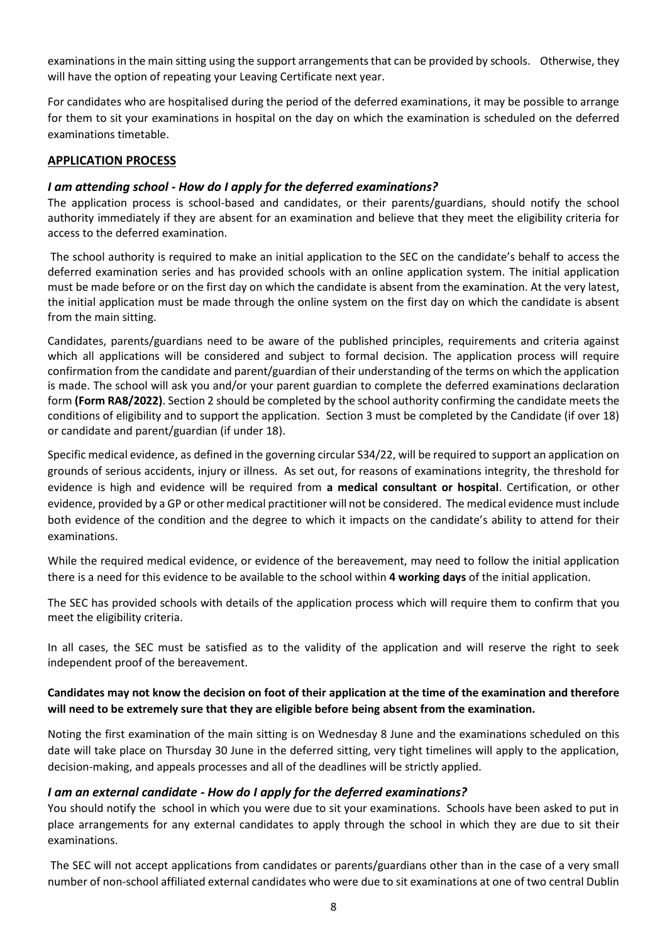examinations in the main sitting using the support arrangements that can be provided by schools. Otherwise, they will have the option of repeating your Leaving Certificate next year.

For candidates who are hospitalised during the period of the deferred examinations, it may be possible to arrange for them to sit your examinations in hospital on the day on which the examination is scheduled on the deferred examinations timetable.

### **APPLICATION PROCESS**

### *I am attending school - How do I apply for the deferred examinations?*

The application process is school-based and candidates, or their parents/guardians, should notify the school authority immediately if they are absent for an examination and believe that they meet the eligibility criteria for access to the deferred examination.

The school authority is required to make an initial application to the SEC on the candidate's behalf to access the deferred examination series and has provided schools with an online application system. The initial application must be made before or on the first day on which the candidate is absent from the examination. At the very latest, the initial application must be made through the online system on the first day on which the candidate is absent from the main sitting.

Candidates, parents/guardians need to be aware of the published principles, requirements and criteria against which all applications will be considered and subject to formal decision. The application process will require confirmation from the candidate and parent/guardian of their understanding of the terms on which the application is made. The school will ask you and/or your parent guardian to complete the deferred examinations declaration form **(Form RA8/2022)**. Section 2 should be completed by the school authority confirming the candidate meets the conditions of eligibility and to support the application. Section 3 must be completed by the Candidate (if over 18) or candidate and parent/guardian (if under 18).

Specific medical evidence, as defined in the governing circular S34/22, will be required to support an application on grounds of serious accidents, injury or illness. As set out, for reasons of examinations integrity, the threshold for evidence is high and evidence will be required from **a medical consultant or hospital**. Certification, or other evidence, provided by a GP or other medical practitioner will not be considered. The medical evidence must include both evidence of the condition and the degree to which it impacts on the candidate's ability to attend for their examinations.

While the required medical evidence, or evidence of the bereavement, may need to follow the initial application there is a need for this evidence to be available to the school within **4 working days** of the initial application.

The SEC has provided schools with details of the application process which will require them to confirm that you meet the eligibility criteria.

In all cases, the SEC must be satisfied as to the validity of the application and will reserve the right to seek independent proof of the bereavement.

### **Candidates may not know the decision on foot of their application at the time of the examination and therefore will need to be extremely sure that they are eligible before being absent from the examination.**

Noting the first examination of the main sitting is on Wednesday 8 June and the examinations scheduled on this date will take place on Thursday 30 June in the deferred sitting, very tight timelines will apply to the application, decision-making, and appeals processes and all of the deadlines will be strictly applied.

### *I am an external candidate - How do I apply for the deferred examinations?*

You should notify the school in which you were due to sit your examinations. Schools have been asked to put in place arrangements for any external candidates to apply through the school in which they are due to sit their examinations.

The SEC will not accept applications from candidates or parents/guardians other than in the case of a very small number of non-school affiliated external candidates who were due to sit examinations at one of two central Dublin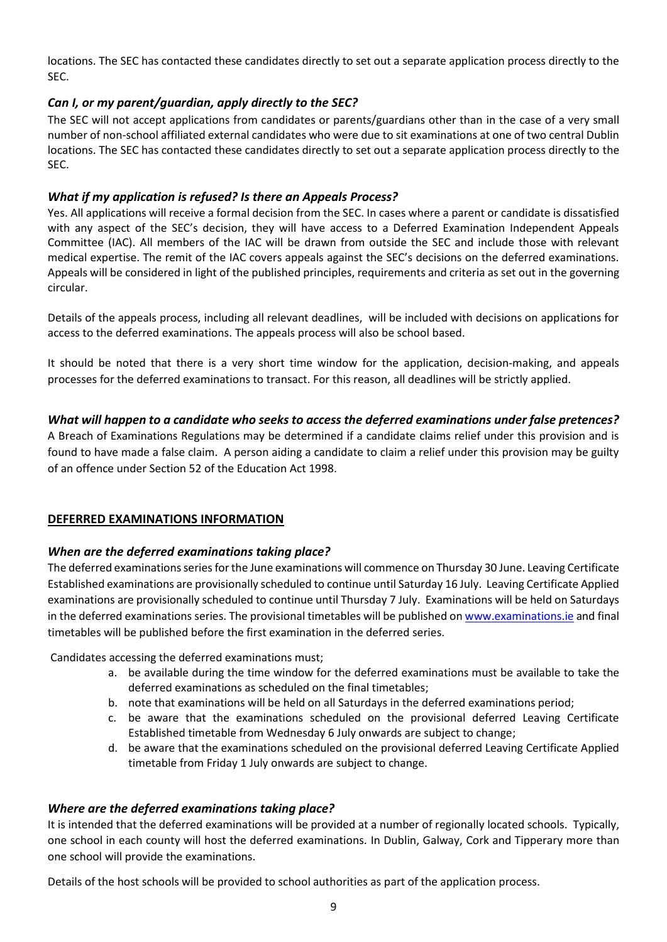locations. The SEC has contacted these candidates directly to set out a separate application process directly to the SEC.

### *Can I, or my parent/guardian, apply directly to the SEC?*

The SEC will not accept applications from candidates or parents/guardians other than in the case of a very small number of non-school affiliated external candidates who were due to sit examinations at one of two central Dublin locations. The SEC has contacted these candidates directly to set out a separate application process directly to the SEC.

### *What if my application is refused? Is there an Appeals Process?*

Yes. All applications will receive a formal decision from the SEC. In cases where a parent or candidate is dissatisfied with any aspect of the SEC's decision, they will have access to a Deferred Examination Independent Appeals Committee (IAC). All members of the IAC will be drawn from outside the SEC and include those with relevant medical expertise. The remit of the IAC covers appeals against the SEC's decisions on the deferred examinations. Appeals will be considered in light of the published principles, requirements and criteria as set out in the governing circular.

Details of the appeals process, including all relevant deadlines, will be included with decisions on applications for access to the deferred examinations. The appeals process will also be school based.

It should be noted that there is a very short time window for the application, decision-making, and appeals processes for the deferred examinations to transact. For this reason, all deadlines will be strictly applied.

### *What will happen to a candidate who seeks to access the deferred examinations under false pretences?*

A Breach of Examinations Regulations may be determined if a candidate claims relief under this provision and is found to have made a false claim. A person aiding a candidate to claim a relief under this provision may be guilty of an offence under Section 52 of the Education Act 1998.

### **DEFERRED EXAMINATIONS INFORMATION**

### *When are the deferred examinations taking place?*

The deferred examinations series for the June examinations will commence on Thursday 30 June. Leaving Certificate Established examinations are provisionally scheduled to continue until Saturday 16 July. Leaving Certificate Applied examinations are provisionally scheduled to continue until Thursday 7 July. Examinations will be held on Saturdays in the deferred examinations series. The provisional timetables will be published o[n www.examinations.ie](http://www.examinations.ie/) and final timetables will be published before the first examination in the deferred series.

Candidates accessing the deferred examinations must;

- a. be available during the time window for the deferred examinations must be available to take the deferred examinations as scheduled on the final timetables;
- b. note that examinations will be held on all Saturdays in the deferred examinations period;
- c. be aware that the examinations scheduled on the provisional deferred Leaving Certificate Established timetable from Wednesday 6 July onwards are subject to change;
- d. be aware that the examinations scheduled on the provisional deferred Leaving Certificate Applied timetable from Friday 1 July onwards are subject to change.

### *Where are the deferred examinations taking place?*

It is intended that the deferred examinations will be provided at a number of regionally located schools. Typically, one school in each county will host the deferred examinations. In Dublin, Galway, Cork and Tipperary more than one school will provide the examinations.

Details of the host schools will be provided to school authorities as part of the application process.